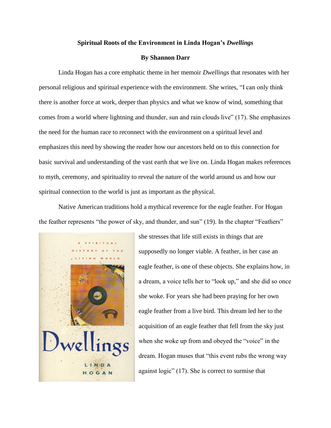## **Spiritual Roots of the Environment in Linda Hogan's** *Dwellings*

## **By Shannon Darr**

Linda Hogan has a core emphatic theme in her memoir *Dwellings* that resonates with her personal religious and spiritual experience with the environment. She writes, "I can only think there is another force at work, deeper than physics and what we know of wind, something that comes from a world where lightning and thunder, sun and rain clouds live" (17). She emphasizes the need for the human race to reconnect with the environment on a spiritual level and emphasizes this need by showing the reader how our ancestors held on to this connection for basic survival and understanding of the vast earth that we live on. Linda Hogan makes references to myth, ceremony, and spirituality to reveal the nature of the world around us and how our spiritual connection to the world is just as important as the physical.

Native American traditions hold a mythical reverence for the eagle feather. For Hogan the feather represents "the power of sky, and thunder, and sun" (19). In the chapter "Feathers"



she stresses that life still exists in things that are supposedly no longer viable. A feather, in her case an eagle feather, is one of these objects. She explains how, in a dream, a voice tells her to "look up," and she did so once she woke. For years she had been praying for her own eagle feather from a live bird. This dream led her to the acquisition of an eagle feather that fell from the sky just when she woke up from and obeyed the "voice" in the dream. Hogan muses that "this event rubs the wrong way against logic" (17). She is correct to surmise that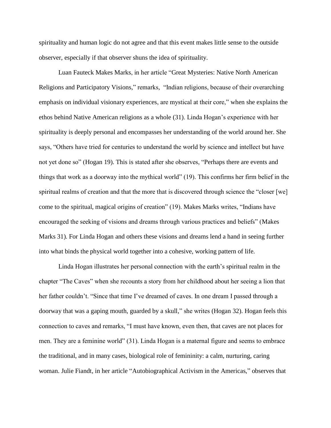spirituality and human logic do not agree and that this event makes little sense to the outside observer, especially if that observer shuns the idea of spirituality.

Luan Fauteck Makes Marks, in her article "Great Mysteries: Native North American Religions and Participatory Visions," remarks, "Indian religions, because of their overarching emphasis on individual visionary experiences, are mystical at their core," when she explains the ethos behind Native American religions as a whole (31). Linda Hogan's experience with her spirituality is deeply personal and encompasses her understanding of the world around her. She says, "Others have tried for centuries to understand the world by science and intellect but have not yet done so" (Hogan 19). This is stated after she observes, "Perhaps there are events and things that work as a doorway into the mythical world" (19). This confirms her firm belief in the spiritual realms of creation and that the more that is discovered through science the "closer [we] come to the spiritual, magical origins of creation" (19). Makes Marks writes, "Indians have encouraged the seeking of visions and dreams through various practices and beliefs" (Makes Marks 31). For Linda Hogan and others these visions and dreams lend a hand in seeing further into what binds the physical world together into a cohesive, working pattern of life.

Linda Hogan illustrates her personal connection with the earth's spiritual realm in the chapter "The Caves" when she recounts a story from her childhood about her seeing a lion that her father couldn't. "Since that time I've dreamed of caves. In one dream I passed through a doorway that was a gaping mouth, guarded by a skull," she writes (Hogan 32). Hogan feels this connection to caves and remarks, "I must have known, even then, that caves are not places for men. They are a feminine world" (31). Linda Hogan is a maternal figure and seems to embrace the traditional, and in many cases, biological role of femininity: a calm, nurturing, caring woman. Julie Fiandt, in her article "Autobiographical Activism in the Americas," observes that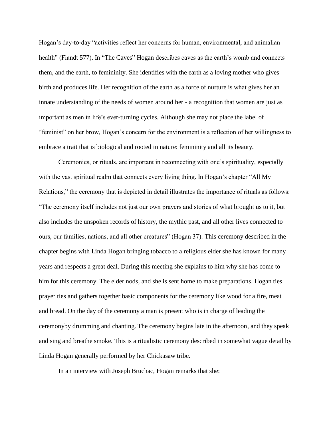Hogan's day-to-day "activities reflect her concerns for human, environmental, and animalian health" (Fiandt 577). In "The Caves" Hogan describes caves as the earth's womb and connects them, and the earth, to femininity. She identifies with the earth as a loving mother who gives birth and produces life. Her recognition of the earth as a force of nurture is what gives her an innate understanding of the needs of women around her - a recognition that women are just as important as men in life's ever-turning cycles. Although she may not place the label of "feminist" on her brow, Hogan's concern for the environment is a reflection of her willingness to embrace a trait that is biological and rooted in nature: femininity and all its beauty.

Ceremonies, or rituals, are important in reconnecting with one's spirituality, especially with the vast spiritual realm that connects every living thing. In Hogan's chapter "All My Relations," the ceremony that is depicted in detail illustrates the importance of rituals as follows: "The ceremony itself includes not just our own prayers and stories of what brought us to it, but also includes the unspoken records of history, the mythic past, and all other lives connected to ours, our families, nations, and all other creatures" (Hogan 37). This ceremony described in the chapter begins with Linda Hogan bringing tobacco to a religious elder she has known for many years and respects a great deal. During this meeting she explains to him why she has come to him for this ceremony. The elder nods, and she is sent home to make preparations. Hogan ties prayer ties and gathers together basic components for the ceremony like wood for a fire, meat and bread. On the day of the ceremony a man is present who is in charge of leading the ceremonyby drumming and chanting. The ceremony begins late in the afternoon, and they speak and sing and breathe smoke. This is a ritualistic ceremony described in somewhat vague detail by Linda Hogan generally performed by her Chickasaw tribe.

In an interview with Joseph Bruchac, Hogan remarks that she: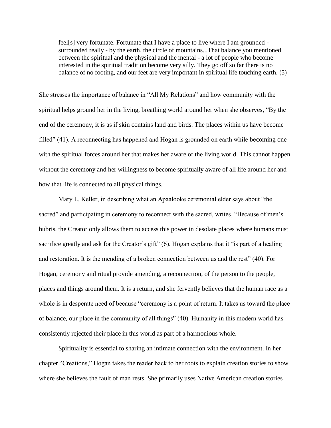feel[s] very fortunate. Fortunate that I have a place to live where I am grounded surrounded really - by the earth, the circle of mountains...That balance you mentioned between the spiritual and the physical and the mental - a lot of people who become interested in the spiritual tradition become very silly. They go off so far there is no balance of no footing, and our feet are very important in spiritual life touching earth. (5)

She stresses the importance of balance in "All My Relations" and how community with the spiritual helps ground her in the living, breathing world around her when she observes, "By the end of the ceremony, it is as if skin contains land and birds. The places within us have become filled" (41). A reconnecting has happened and Hogan is grounded on earth while becoming one with the spiritual forces around her that makes her aware of the living world. This cannot happen without the ceremony and her willingness to become spiritually aware of all life around her and how that life is connected to all physical things.

Mary L. Keller, in describing what an Apaalooke ceremonial elder says about "the sacred" and participating in ceremony to reconnect with the sacred, writes, "Because of men's hubris, the Creator only allows them to access this power in desolate places where humans must sacrifice greatly and ask for the Creator's gift" (6). Hogan explains that it "is part of a healing and restoration. It is the mending of a broken connection between us and the rest" (40). For Hogan, ceremony and ritual provide amending, a reconnection, of the person to the people, places and things around them. It is a return, and she fervently believes that the human race as a whole is in desperate need of because "ceremony is a point of return. It takes us toward the place of balance, our place in the community of all things" (40). Humanity in this modern world has consistently rejected their place in this world as part of a harmonious whole.

Spirituality is essential to sharing an intimate connection with the environment. In her chapter "Creations," Hogan takes the reader back to her roots to explain creation stories to show where she believes the fault of man rests. She primarily uses Native American creation stories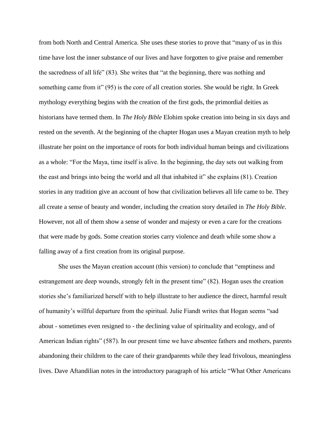from both North and Central America. She uses these stories to prove that "many of us in this time have lost the inner substance of our lives and have forgotten to give praise and remember the sacredness of all life" (83). She writes that "at the beginning, there was nothing and something came from it" (95) is the core of all creation stories. She would be right. In Greek mythology everything begins with the creation of the first gods, the primordial deities as historians have termed them. In *The Holy Bible* Elohim spoke creation into being in six days and rested on the seventh. At the beginning of the chapter Hogan uses a Mayan creation myth to help illustrate her point on the importance of roots for both individual human beings and civilizations as a whole: "For the Maya, time itself is alive. In the beginning, the day sets out walking from the east and brings into being the world and all that inhabited it" she explains (81). Creation stories in any tradition give an account of how that civilization believes all life came to be. They all create a sense of beauty and wonder, including the creation story detailed in *The Holy Bible*. However, not all of them show a sense of wonder and majesty or even a care for the creations that were made by gods. Some creation stories carry violence and death while some show a falling away of a first creation from its original purpose.

She uses the Mayan creation account (this version) to conclude that "emptiness and estrangement are deep wounds, strongly felt in the present time" (82). Hogan uses the creation stories she's familiarized herself with to help illustrate to her audience the direct, harmful result of humanity's willful departure from the spiritual. Julie Fiandt writes that Hogan seems "sad about - sometimes even resigned to - the declining value of spirituality and ecology, and of American Indian rights" (587). In our present time we have absentee fathers and mothers, parents abandoning their children to the care of their grandparents while they lead frivolous, meaningless lives. Dave Aftandilian notes in the introductory paragraph of his article "What Other Americans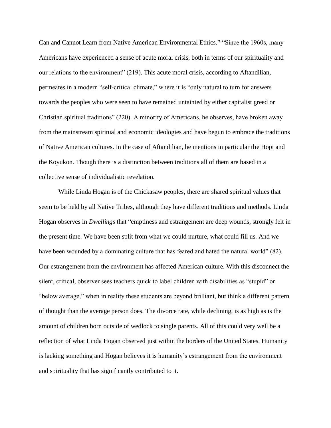Can and Cannot Learn from Native American Environmental Ethics." "Since the 1960s, many Americans have experienced a sense of acute moral crisis, both in terms of our spirituality and our relations to the environment" (219). This acute moral crisis, according to Aftandilian, permeates in a modern "self-critical climate," where it is "only natural to turn for answers towards the peoples who were seen to have remained untainted by either capitalist greed or Christian spiritual traditions" (220). A minority of Americans, he observes, have broken away from the mainstream spiritual and economic ideologies and have begun to embrace the traditions of Native American cultures. In the case of Aftandilian, he mentions in particular the Hopi and the Koyukon. Though there is a distinction between traditions all of them are based in a collective sense of individualistic revelation.

While Linda Hogan is of the Chickasaw peoples, there are shared spiritual values that seem to be held by all Native Tribes, although they have different traditions and methods. Linda Hogan observes in *Dwellings* that "emptiness and estrangement are deep wounds, strongly felt in the present time. We have been split from what we could nurture, what could fill us. And we have been wounded by a dominating culture that has feared and hated the natural world" (82). Our estrangement from the environment has affected American culture. With this disconnect the silent, critical, observer sees teachers quick to label children with disabilities as "stupid" or "below average," when in reality these students are beyond brilliant, but think a different pattern of thought than the average person does. The divorce rate, while declining, is as high as is the amount of children born outside of wedlock to single parents. All of this could very well be a reflection of what Linda Hogan observed just within the borders of the United States. Humanity is lacking something and Hogan believes it is humanity's estrangement from the environment and spirituality that has significantly contributed to it.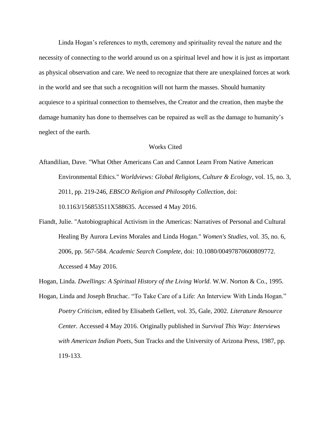Linda Hogan's references to myth, ceremony and spirituality reveal the nature and the necessity of connecting to the world around us on a spiritual level and how it is just as important as physical observation and care. We need to recognize that there are unexplained forces at work in the world and see that such a recognition will not harm the masses. Should humanity acquiesce to a spiritual connection to themselves, the Creator and the creation, then maybe the damage humanity has done to themselves can be repaired as well as the damage to humanity's neglect of the earth.

## Works Cited

- Aftandilian, Dave. "What Other Americans Can and Cannot Learn From Native American Environmental Ethics." *Worldviews: Global Religions, Culture & Ecology*, vol. 15, no. 3, 2011, pp. 219-246, *EBSCO Religion and Philosophy Collection*, doi: 10.1163/156853511X588635. Accessed 4 May 2016.
- Fiandt, Julie. "Autobiographical Activism in the Americas: Narratives of Personal and Cultural Healing By Aurora Levins Morales and Linda Hogan." *Women's Studies,* vol. 35, no. 6, 2006, pp. 567-584. *Academic Search Complete*, doi: 10.1080/00497870600809772. Accessed 4 May 2016.

Hogan, Linda. *Dwellings: A Spiritual History of the Living World.* W.W. Norton & Co., 1995.

Hogan, Linda and Joseph Bruchac. "To Take Care of a Life: An Interview With Linda Hogan." *Poetry Criticism*, edited by Elisabeth Gellert, vol. 35, Gale, 2002. *Literature Resource Center.* Accessed 4 May 2016. Originally published in *Survival This Way: Interviews with American Indian Poets*, Sun Tracks and the University of Arizona Press, 1987, pp. 119-133.